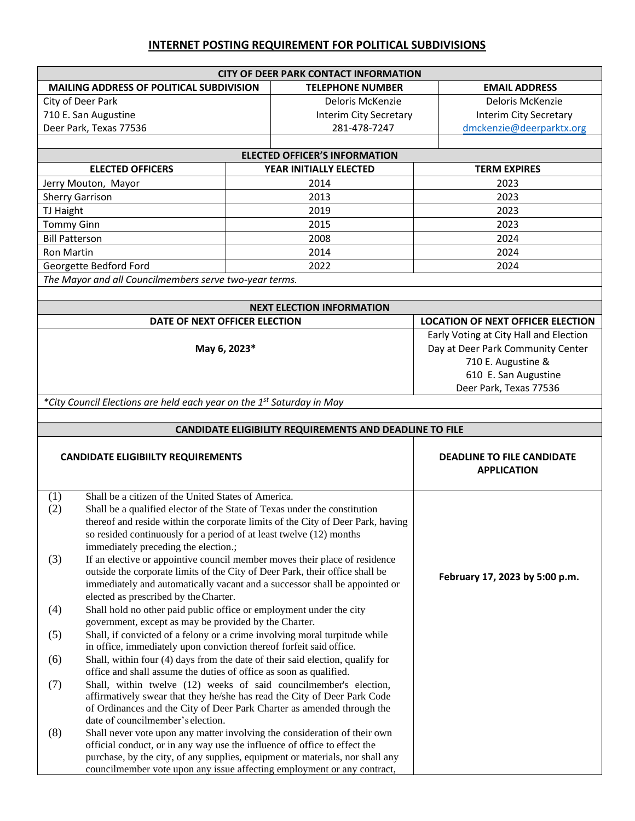## **INTERNET POSTING REQUIREMENT FOR POLITICAL SUBDIVISIONS**

|                                          |                                                                                                                                                            |                         | <b>CITY OF DEER PARK CONTACT INFORMATION</b>            |                      |                                          |  |  |  |
|------------------------------------------|------------------------------------------------------------------------------------------------------------------------------------------------------------|-------------------------|---------------------------------------------------------|----------------------|------------------------------------------|--|--|--|
| MAILING ADDRESS OF POLITICAL SUBDIVISION |                                                                                                                                                            | <b>TELEPHONE NUMBER</b> |                                                         | <b>EMAIL ADDRESS</b> |                                          |  |  |  |
|                                          | City of Deer Park                                                                                                                                          |                         | Deloris McKenzie                                        |                      | Deloris McKenzie                         |  |  |  |
|                                          | 710 E. San Augustine                                                                                                                                       |                         | Interim City Secretary                                  |                      | Interim City Secretary                   |  |  |  |
|                                          | Deer Park, Texas 77536                                                                                                                                     |                         | 281-478-7247                                            |                      | dmckenzie@deerparktx.org                 |  |  |  |
|                                          |                                                                                                                                                            |                         |                                                         |                      |                                          |  |  |  |
| <b>ELECTED OFFICER'S INFORMATION</b>     |                                                                                                                                                            |                         |                                                         |                      |                                          |  |  |  |
|                                          | <b>ELECTED OFFICERS</b>                                                                                                                                    |                         | YEAR INITIALLY ELECTED                                  |                      | <b>TERM EXPIRES</b>                      |  |  |  |
|                                          | Jerry Mouton, Mayor                                                                                                                                        |                         | 2014                                                    |                      | 2023                                     |  |  |  |
|                                          | <b>Sherry Garrison</b>                                                                                                                                     | 2013                    |                                                         | 2023                 |                                          |  |  |  |
| TJ Haight                                |                                                                                                                                                            |                         | 2019                                                    | 2023                 |                                          |  |  |  |
| <b>Tommy Ginn</b>                        |                                                                                                                                                            |                         | 2015                                                    | 2023                 |                                          |  |  |  |
| <b>Bill Patterson</b>                    |                                                                                                                                                            |                         | 2008                                                    | 2024                 |                                          |  |  |  |
| <b>Ron Martin</b>                        |                                                                                                                                                            |                         | 2014                                                    |                      | 2024                                     |  |  |  |
|                                          | Georgette Bedford Ford                                                                                                                                     |                         | 2022                                                    | 2024                 |                                          |  |  |  |
|                                          | The Mayor and all Councilmembers serve two-year terms.                                                                                                     |                         |                                                         |                      |                                          |  |  |  |
|                                          |                                                                                                                                                            |                         |                                                         |                      |                                          |  |  |  |
|                                          |                                                                                                                                                            |                         | <b>NEXT ELECTION INFORMATION</b>                        |                      |                                          |  |  |  |
|                                          | DATE OF NEXT OFFICER ELECTION                                                                                                                              |                         |                                                         |                      | <b>LOCATION OF NEXT OFFICER ELECTION</b> |  |  |  |
|                                          |                                                                                                                                                            |                         |                                                         |                      | Early Voting at City Hall and Election   |  |  |  |
|                                          | May 6, 2023*                                                                                                                                               |                         |                                                         |                      | Day at Deer Park Community Center        |  |  |  |
|                                          |                                                                                                                                                            |                         |                                                         | 710 E. Augustine &   |                                          |  |  |  |
|                                          |                                                                                                                                                            |                         |                                                         |                      | 610 E. San Augustine                     |  |  |  |
|                                          |                                                                                                                                                            |                         |                                                         |                      | Deer Park, Texas 77536                   |  |  |  |
|                                          | *City Council Elections are held each year on the 1 <sup>st</sup> Saturday in May                                                                          |                         |                                                         |                      |                                          |  |  |  |
|                                          |                                                                                                                                                            |                         |                                                         |                      |                                          |  |  |  |
|                                          |                                                                                                                                                            |                         | CANDIDATE ELIGIBILITY REQUIREMENTS AND DEADLINE TO FILE |                      |                                          |  |  |  |
|                                          |                                                                                                                                                            |                         |                                                         |                      |                                          |  |  |  |
|                                          | <b>CANDIDATE ELIGIBIILTY REQUIREMENTS</b>                                                                                                                  |                         |                                                         |                      | <b>DEADLINE TO FILE CANDIDATE</b>        |  |  |  |
|                                          |                                                                                                                                                            |                         |                                                         |                      | <b>APPLICATION</b>                       |  |  |  |
|                                          |                                                                                                                                                            |                         |                                                         |                      |                                          |  |  |  |
| (1)                                      | Shall be a citizen of the United States of America.                                                                                                        |                         |                                                         |                      |                                          |  |  |  |
| (2)                                      | Shall be a qualified elector of the State of Texas under the constitution                                                                                  |                         |                                                         |                      |                                          |  |  |  |
|                                          | thereof and reside within the corporate limits of the City of Deer Park, having                                                                            |                         |                                                         |                      |                                          |  |  |  |
|                                          | so resided continuously for a period of at least twelve (12) months                                                                                        |                         |                                                         |                      |                                          |  |  |  |
|                                          | immediately preceding the election.;                                                                                                                       |                         |                                                         |                      |                                          |  |  |  |
| (3)                                      | If an elective or appointive council member moves their place of residence                                                                                 |                         |                                                         |                      |                                          |  |  |  |
|                                          | outside the corporate limits of the City of Deer Park, their office shall be                                                                               |                         |                                                         |                      | February 17, 2023 by 5:00 p.m.           |  |  |  |
|                                          | immediately and automatically vacant and a successor shall be appointed or                                                                                 |                         |                                                         |                      |                                          |  |  |  |
|                                          | elected as prescribed by the Charter.                                                                                                                      |                         |                                                         |                      |                                          |  |  |  |
| (4)                                      | Shall hold no other paid public office or employment under the city<br>government, except as may be provided by the Charter.                               |                         |                                                         |                      |                                          |  |  |  |
|                                          |                                                                                                                                                            |                         |                                                         |                      |                                          |  |  |  |
| (5)                                      | Shall, if convicted of a felony or a crime involving moral turpitude while<br>in office, immediately upon conviction thereof forfeit said office.          |                         |                                                         |                      |                                          |  |  |  |
| (6)                                      | Shall, within four (4) days from the date of their said election, qualify for                                                                              |                         |                                                         |                      |                                          |  |  |  |
|                                          | office and shall assume the duties of office as soon as qualified.                                                                                         |                         |                                                         |                      |                                          |  |  |  |
| (7)                                      | Shall, within twelve (12) weeks of said councilmember's election,                                                                                          |                         |                                                         |                      |                                          |  |  |  |
|                                          | affirmatively swear that they he/she has read the City of Deer Park Code                                                                                   |                         |                                                         |                      |                                          |  |  |  |
|                                          | of Ordinances and the City of Deer Park Charter as amended through the                                                                                     |                         |                                                         |                      |                                          |  |  |  |
|                                          | date of councilmember's election.                                                                                                                          |                         |                                                         |                      |                                          |  |  |  |
| (8)                                      | Shall never vote upon any matter involving the consideration of their own                                                                                  |                         |                                                         |                      |                                          |  |  |  |
|                                          | official conduct, or in any way use the influence of office to effect the<br>purchase, by the city, of any supplies, equipment or materials, nor shall any |                         |                                                         |                      |                                          |  |  |  |
|                                          |                                                                                                                                                            |                         |                                                         |                      |                                          |  |  |  |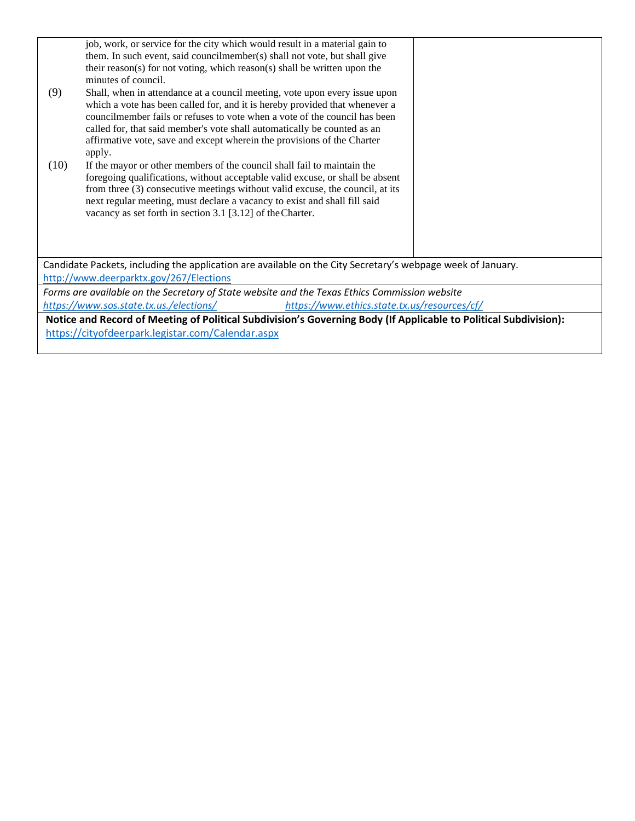|                                                                                                                  | job, work, or service for the city which would result in a material gain to                                                             |  |  |  |
|------------------------------------------------------------------------------------------------------------------|-----------------------------------------------------------------------------------------------------------------------------------------|--|--|--|
|                                                                                                                  | them. In such event, said councilmember(s) shall not vote, but shall give                                                               |  |  |  |
|                                                                                                                  | their reason(s) for not voting, which reason(s) shall be written upon the                                                               |  |  |  |
|                                                                                                                  | minutes of council.                                                                                                                     |  |  |  |
| (9)                                                                                                              | Shall, when in attendance at a council meeting, vote upon every issue upon                                                              |  |  |  |
|                                                                                                                  | which a vote has been called for, and it is hereby provided that whenever a                                                             |  |  |  |
|                                                                                                                  | councilmember fails or refuses to vote when a vote of the council has been                                                              |  |  |  |
|                                                                                                                  | called for, that said member's vote shall automatically be counted as an                                                                |  |  |  |
|                                                                                                                  | affirmative vote, save and except wherein the provisions of the Charter                                                                 |  |  |  |
|                                                                                                                  | apply.                                                                                                                                  |  |  |  |
| (10)                                                                                                             | If the mayor or other members of the council shall fail to maintain the                                                                 |  |  |  |
|                                                                                                                  | foregoing qualifications, without acceptable valid excuse, or shall be absent                                                           |  |  |  |
|                                                                                                                  | from three (3) consecutive meetings without valid excuse, the council, at its                                                           |  |  |  |
|                                                                                                                  | next regular meeting, must declare a vacancy to exist and shall fill said<br>vacancy as set forth in section 3.1 [3.12] of the Charter. |  |  |  |
|                                                                                                                  |                                                                                                                                         |  |  |  |
|                                                                                                                  |                                                                                                                                         |  |  |  |
|                                                                                                                  |                                                                                                                                         |  |  |  |
|                                                                                                                  |                                                                                                                                         |  |  |  |
| Candidate Packets, including the application are available on the City Secretary's webpage week of January.      |                                                                                                                                         |  |  |  |
| http://www.deerparktx.gov/267/Elections                                                                          |                                                                                                                                         |  |  |  |
| Forms are available on the Secretary of State website and the Texas Ethics Commission website                    |                                                                                                                                         |  |  |  |
| https://www.sos.state.tx.us./elections/<br>https://www.ethics.state.tx.us/resources/cf/                          |                                                                                                                                         |  |  |  |
| Notice and Record of Meeting of Political Subdivision's Governing Body (If Applicable to Political Subdivision): |                                                                                                                                         |  |  |  |
| https://cityofdeerpark.legistar.com/Calendar.aspx                                                                |                                                                                                                                         |  |  |  |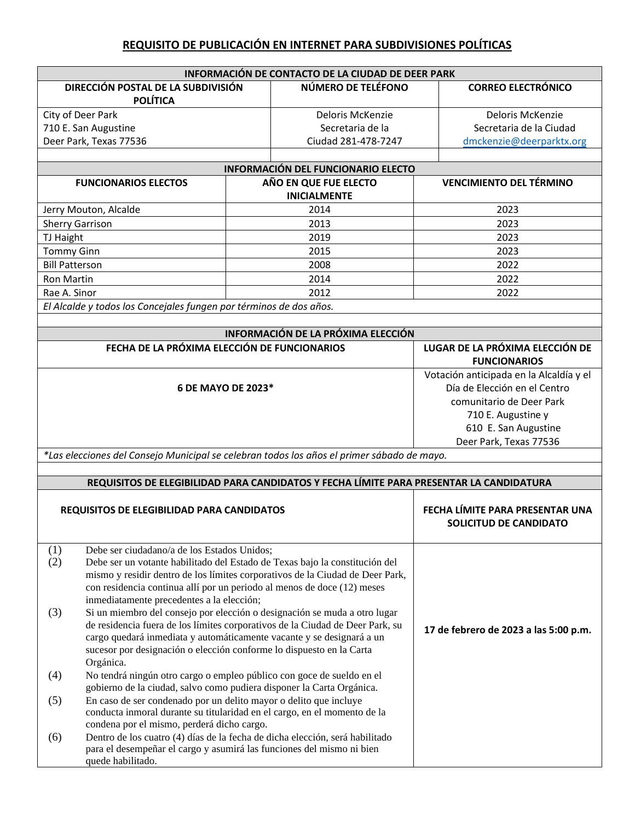## **REQUISITO DE PUBLICACIÓN EN INTERNET PARA SUBDIVISIONES POLÍTICAS**

| INFORMACIÓN DE CONTACTO DE LA CIUDAD DE DEER PARK                     |                                                                                                                                                            |                        |                                                                                         |                                                                         |  |  |  |
|-----------------------------------------------------------------------|------------------------------------------------------------------------------------------------------------------------------------------------------------|------------------------|-----------------------------------------------------------------------------------------|-------------------------------------------------------------------------|--|--|--|
| DIRECCIÓN POSTAL DE LA SUBDIVISIÓN<br><b>POLÍTICA</b>                 |                                                                                                                                                            | NÚMERO DE TELÉFONO     | <b>CORREO ELECTRÓNICO</b>                                                               |                                                                         |  |  |  |
| City of Deer Park                                                     |                                                                                                                                                            |                        | Deloris McKenzie                                                                        | Deloris McKenzie                                                        |  |  |  |
|                                                                       | 710 E. San Augustine                                                                                                                                       |                        | Secretaria de la                                                                        | Secretaria de la Ciudad                                                 |  |  |  |
|                                                                       | Deer Park, Texas 77536                                                                                                                                     |                        | Ciudad 281-478-7247                                                                     | dmckenzie@deerparktx.org                                                |  |  |  |
|                                                                       |                                                                                                                                                            |                        |                                                                                         |                                                                         |  |  |  |
| <b>INFORMACIÓN DEL FUNCIONARIO ELECTO</b>                             |                                                                                                                                                            |                        |                                                                                         |                                                                         |  |  |  |
|                                                                       | <b>FUNCIONARIOS ELECTOS</b>                                                                                                                                |                        | AÑO EN QUE FUE ELECTO<br><b>INICIALMENTE</b>                                            | <b>VENCIMIENTO DEL TÉRMINO</b>                                          |  |  |  |
|                                                                       | Jerry Mouton, Alcalde                                                                                                                                      |                        | 2014                                                                                    | 2023                                                                    |  |  |  |
|                                                                       | <b>Sherry Garrison</b>                                                                                                                                     |                        | 2013                                                                                    | 2023                                                                    |  |  |  |
| TJ Haight                                                             |                                                                                                                                                            |                        | 2019                                                                                    | 2023                                                                    |  |  |  |
| <b>Tommy Ginn</b>                                                     |                                                                                                                                                            |                        | 2015                                                                                    | 2023                                                                    |  |  |  |
| <b>Bill Patterson</b>                                                 |                                                                                                                                                            |                        | 2008                                                                                    | 2022                                                                    |  |  |  |
| <b>Ron Martin</b>                                                     |                                                                                                                                                            |                        | 2014                                                                                    | 2022                                                                    |  |  |  |
| Rae A. Sinor                                                          |                                                                                                                                                            |                        | 2012                                                                                    | 2022                                                                    |  |  |  |
|                                                                       | El Alcalde y todos los Concejales fungen por términos de dos años.                                                                                         |                        |                                                                                         |                                                                         |  |  |  |
|                                                                       |                                                                                                                                                            |                        | INFORMACIÓN DE LA PRÓXIMA ELECCIÓN                                                      |                                                                         |  |  |  |
|                                                                       | FECHA DE LA PRÓXIMA ELECCIÓN DE FUNCIONARIOS                                                                                                               |                        |                                                                                         | LUGAR DE LA PRÓXIMA ELECCIÓN DE                                         |  |  |  |
|                                                                       |                                                                                                                                                            |                        |                                                                                         | <b>FUNCIONARIOS</b>                                                     |  |  |  |
| 6 DE MAYO DE 2023*                                                    |                                                                                                                                                            |                        |                                                                                         | Votación anticipada en la Alcaldía y el<br>Día de Elección en el Centro |  |  |  |
|                                                                       |                                                                                                                                                            |                        |                                                                                         | comunitario de Deer Park                                                |  |  |  |
|                                                                       |                                                                                                                                                            |                        |                                                                                         | 710 E. Augustine y                                                      |  |  |  |
|                                                                       |                                                                                                                                                            |                        |                                                                                         | 610 E. San Augustine                                                    |  |  |  |
|                                                                       |                                                                                                                                                            | Deer Park, Texas 77536 |                                                                                         |                                                                         |  |  |  |
|                                                                       | *Las elecciones del Consejo Municipal se celebran todos los años el primer sábado de mayo.                                                                 |                        |                                                                                         |                                                                         |  |  |  |
|                                                                       |                                                                                                                                                            |                        |                                                                                         |                                                                         |  |  |  |
|                                                                       |                                                                                                                                                            |                        | REQUISITOS DE ELEGIBILIDAD PARA CANDIDATOS Y FECHA LÍMITE PARA PRESENTAR LA CANDIDATURA |                                                                         |  |  |  |
| REQUISITOS DE ELEGIBILIDAD PARA CANDIDATOS                            |                                                                                                                                                            |                        | FECHA LÍMITE PARA PRESENTAR UNA<br>SOLICITUD DE CANDIDATO                               |                                                                         |  |  |  |
| (1)                                                                   | Debe ser ciudadano/a de los Estados Unidos;                                                                                                                |                        |                                                                                         |                                                                         |  |  |  |
| (2)                                                                   | Debe ser un votante habilitado del Estado de Texas bajo la constitución del                                                                                |                        |                                                                                         |                                                                         |  |  |  |
|                                                                       | mismo y residir dentro de los límites corporativos de la Ciudad de Deer Park,                                                                              |                        |                                                                                         |                                                                         |  |  |  |
|                                                                       | con residencia continua allí por un periodo al menos de doce (12) meses                                                                                    |                        |                                                                                         |                                                                         |  |  |  |
|                                                                       | inmediatamente precedentes a la elección;                                                                                                                  |                        |                                                                                         |                                                                         |  |  |  |
| (3)                                                                   | Si un miembro del consejo por elección o designación se muda a otro lugar<br>de residencia fuera de los límites corporativos de la Ciudad de Deer Park, su |                        |                                                                                         |                                                                         |  |  |  |
|                                                                       | cargo quedará inmediata y automáticamente vacante y se designará a un                                                                                      |                        |                                                                                         | 17 de febrero de 2023 a las 5:00 p.m.                                   |  |  |  |
|                                                                       | sucesor por designación o elección conforme lo dispuesto en la Carta                                                                                       |                        |                                                                                         |                                                                         |  |  |  |
|                                                                       |                                                                                                                                                            |                        |                                                                                         |                                                                         |  |  |  |
| (4)                                                                   | Orgánica.<br>No tendrá ningún otro cargo o empleo público con goce de sueldo en el                                                                         |                        |                                                                                         |                                                                         |  |  |  |
| gobierno de la ciudad, salvo como pudiera disponer la Carta Orgánica. |                                                                                                                                                            |                        |                                                                                         |                                                                         |  |  |  |
| (5)                                                                   | En caso de ser condenado por un delito mayor o delito que incluye                                                                                          |                        |                                                                                         |                                                                         |  |  |  |
|                                                                       | conducta inmoral durante su titularidad en el cargo, en el momento de la                                                                                   |                        |                                                                                         |                                                                         |  |  |  |
|                                                                       | condena por el mismo, perderá dicho cargo.                                                                                                                 |                        |                                                                                         |                                                                         |  |  |  |
| (6)                                                                   | Dentro de los cuatro (4) días de la fecha de dicha elección, será habilitado                                                                               |                        |                                                                                         |                                                                         |  |  |  |
|                                                                       | para el desempeñar el cargo y asumirá las funciones del mismo ni bien                                                                                      |                        |                                                                                         |                                                                         |  |  |  |
|                                                                       | quede habilitado.                                                                                                                                          |                        |                                                                                         |                                                                         |  |  |  |